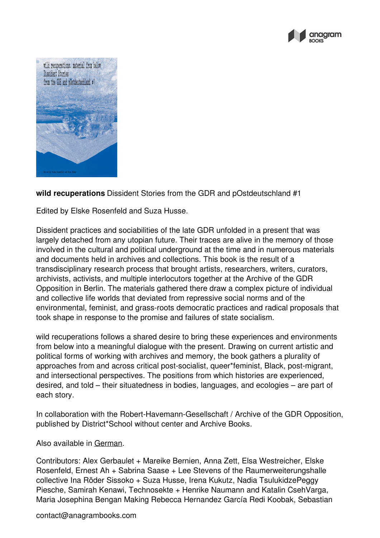



**wild recuperations** Dissident Stories from the GDR and pOstdeutschland #1

Edited by Elske Rosenfeld and Suza Husse.

Dissident practices and sociabilities of the late GDR unfolded in a present that was largely detached from any utopian future. Their traces are alive in the memory of those involved in the cultural and political underground at the time and in numerous materials and documents held in archives and collections. This book is the result of a transdisciplinary research process that brought artists, researchers, writers, curators, archivists, activists, and multiple interlocutors together at the Archive of the GDR Opposition in Berlin. The materials gathered there draw a complex picture of individual and collective life worlds that deviated from repressive social norms and of the environmental, feminist, and grass-roots democratic practices and radical proposals that took shape in response to the promise and failures of state socialism.

wild recuperations follows a shared desire to bring these experiences and environments from below into a meaningful dialogue with the present. Drawing on current artistic and political forms of working with archives and memory, the book gathers a plurality of approaches from and across critical post-socialist, queer\*feminist, Black, post-migrant, and intersectional perspectives. The positions from which histories are experienced, desired, and told – their situatedness in bodies, languages, and ecologies – are part of each story.

In collaboration with the Robert-Havemann-Gesellschaft / Archive of the GDR Opposition, published by District\*School without center and Archive Books.

Also available in [German](https://anagrambooks.com/wildes-wiederholen).

Contributors: Alex Gerbaulet + Mareike Bernien, Anna Zett, Elsa Westreicher, Elske Rosenfeld, Ernest Ah + Sabrina Saase + Lee Stevens of the Raumerweiterungshalle collective Ina Röder Sissoko + Suza Husse, Irena Kukutz, Nadia TsulukidzePeggy Piesche, Samirah Kenawi, Technosekte + Henrike Naumann and Katalin CsehVarga, Maria Josephina Bengan Making Rebecca Hernandez García Redi Koobak, Sebastian